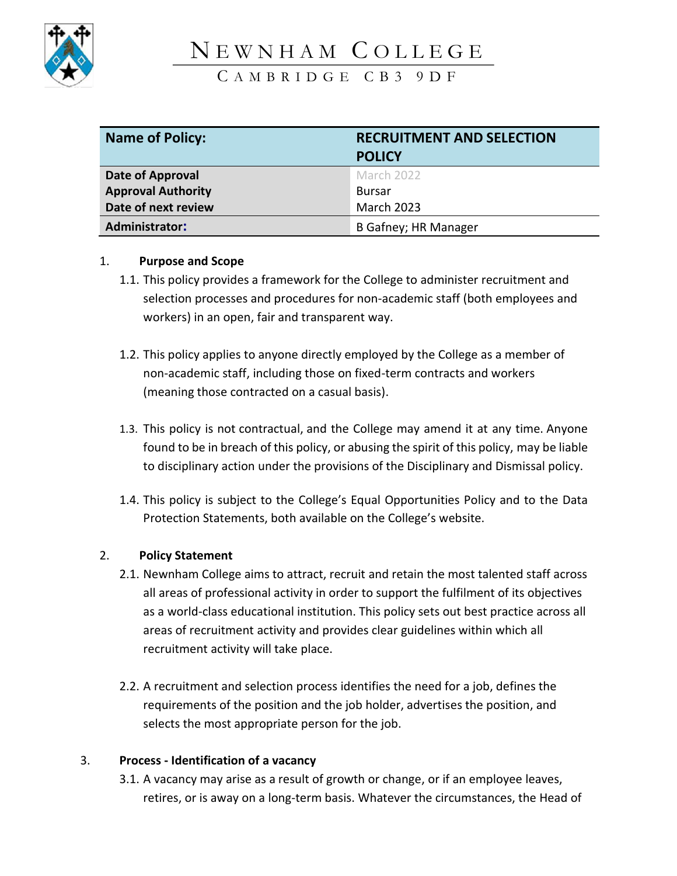

# N E W N H A M C O L L E G E

C A M B R I D G E C B 3 9 D F

| <b>Name of Policy:</b><br><b>RECRUITMENT AND SELECTION</b> |                             |
|------------------------------------------------------------|-----------------------------|
|                                                            | <b>POLICY</b>               |
| Date of Approval                                           | March 2022                  |
| <b>Approval Authority</b>                                  | <b>Bursar</b>               |
| Date of next review                                        | <b>March 2023</b>           |
| <b>Administrator:</b>                                      | <b>B Gafney; HR Manager</b> |

#### 1. **Purpose and Scope**

- 1.1. This policy provides a framework for the College to administer recruitment and selection processes and procedures for non-academic staff (both employees and workers) in an open, fair and transparent way.
- 1.2. This policy applies to anyone directly employed by the College as a member of non-academic staff, including those on fixed-term contracts and workers (meaning those contracted on a casual basis).
- 1.3. This policy is not contractual, and the College may amend it at any time. Anyone found to be in breach of this policy, or abusing the spirit of this policy, may be liable to disciplinary action under the provisions of the Disciplinary and Dismissal policy.
- 1.4. This policy is subject to the College's Equal Opportunities Policy and to the Data Protection Statements, both available on the College's website.

#### 2. **Policy Statement**

- 2.1. Newnham College aims to attract, recruit and retain the most talented staff across all areas of professional activity in order to support the fulfilment of its objectives as a world-class educational institution. This policy sets out best practice across all areas of recruitment activity and provides clear guidelines within which all recruitment activity will take place.
- 2.2. A recruitment and selection process identifies the need for a job, defines the requirements of the position and the job holder, advertises the position, and selects the most appropriate person for the job.

#### 3. **Process - Identification of a vacancy**

3.1. A vacancy may arise as a result of growth or change, or if an employee leaves, retires, or is away on a long-term basis. Whatever the circumstances, the Head of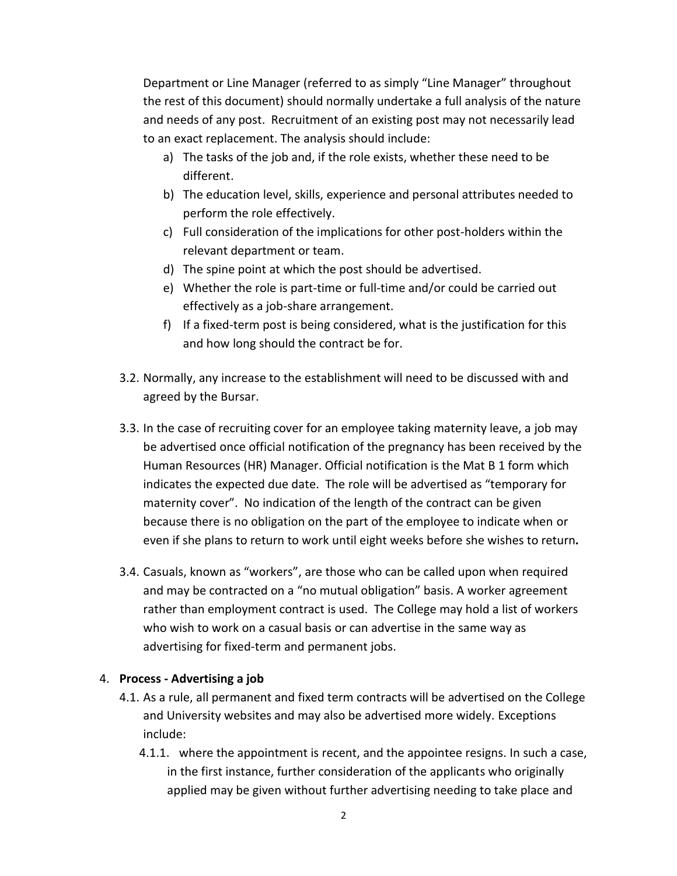Department or Line Manager (referred to as simply "Line Manager" throughout the rest of this document) should normally undertake a full analysis of the nature and needs of any post. Recruitment of an existing post may not necessarily lead to an exact replacement. The analysis should include:

- a) The tasks of the job and, if the role exists, whether these need to be different.
- b) The education level, skills, experience and personal attributes needed to perform the role effectively.
- c) Full consideration of the implications for other post-holders within the relevant department or team.
- d) The spine point at which the post should be advertised.
- e) Whether the role is part-time or full-time and/or could be carried out effectively as a job-share arrangement.
- f) If a fixed-term post is being considered, what is the justification for this and how long should the contract be for.
- 3.2. Normally, any increase to the establishment will need to be discussed with and agreed by the Bursar.
- 3.3. In the case of recruiting cover for an employee taking maternity leave, a job may be advertised once official notification of the pregnancy has been received by the Human Resources (HR) Manager. Official notification is the Mat B 1 form which indicates the expected due date. The role will be advertised as "temporary for maternity cover". No indication of the length of the contract can be given because there is no obligation on the part of the employee to indicate when or even if she plans to return to work until eight weeks before she wishes to return*.*
- 3.4. Casuals, known as "workers", are those who can be called upon when required and may be contracted on a "no mutual obligation" basis. A worker agreement rather than employment contract is used. The College may hold a list of workers who wish to work on a casual basis or can advertise in the same way as advertising for fixed-term and permanent jobs.

#### 4. **Process - Advertising a job**

- 4.1. As a rule, all permanent and fixed term contracts will be advertised on the College and University websites and may also be advertised more widely. Exceptions include:
	- 4.1.1. where the appointment is recent, and the appointee resigns. In such a case, in the first instance, further consideration of the applicants who originally applied may be given without further advertising needing to take place and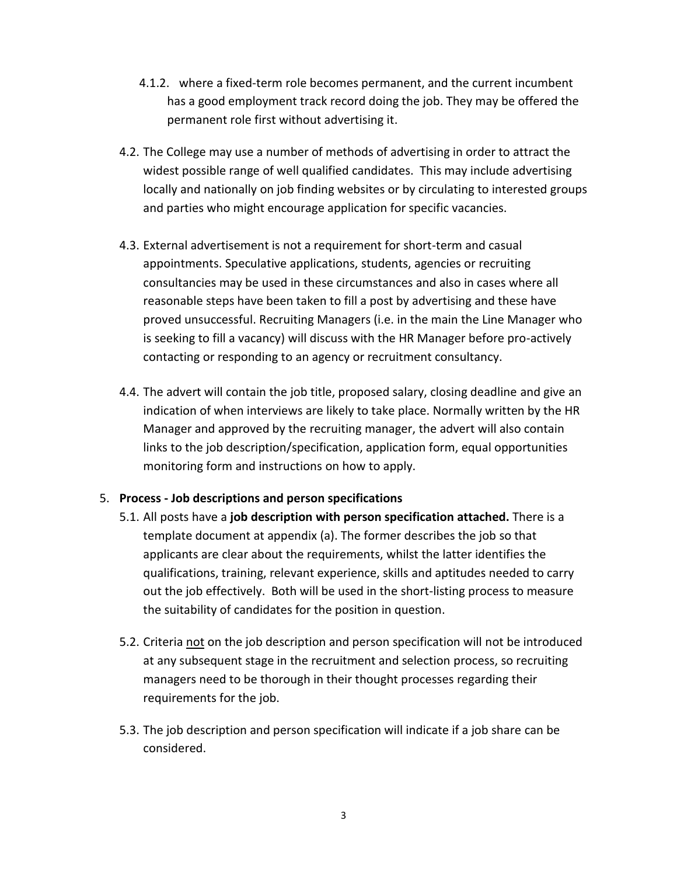- 4.1.2. where a fixed-term role becomes permanent, and the current incumbent has a good employment track record doing the job. They may be offered the permanent role first without advertising it.
- 4.2. The College may use a number of methods of advertising in order to attract the widest possible range of well qualified candidates. This may include advertising locally and nationally on job finding websites or by circulating to interested groups and parties who might encourage application for specific vacancies.
- 4.3. External advertisement is not a requirement for short-term and casual appointments. Speculative applications, students, agencies or recruiting consultancies may be used in these circumstances and also in cases where all reasonable steps have been taken to fill a post by advertising and these have proved unsuccessful. Recruiting Managers (i.e. in the main the Line Manager who is seeking to fill a vacancy) will discuss with the HR Manager before pro-actively contacting or responding to an agency or recruitment consultancy.
- 4.4. The advert will contain the job title, proposed salary, closing deadline and give an indication of when interviews are likely to take place. Normally written by the HR Manager and approved by the recruiting manager, the advert will also contain links to the job description/specification, application form, equal opportunities monitoring form and instructions on how to apply.

#### 5. **Process - Job descriptions and person specifications**

- 5.1. All posts have a **job description with person specification attached.** There is a template document at appendix (a). The former describes the job so that applicants are clear about the requirements, whilst the latter identifies the qualifications, training, relevant experience, skills and aptitudes needed to carry out the job effectively. Both will be used in the short-listing process to measure the suitability of candidates for the position in question.
- 5.2. Criteria not on the job description and person specification will not be introduced at any subsequent stage in the recruitment and selection process, so recruiting managers need to be thorough in their thought processes regarding their requirements for the job.
- 5.3. The job description and person specification will indicate if a job share can be considered.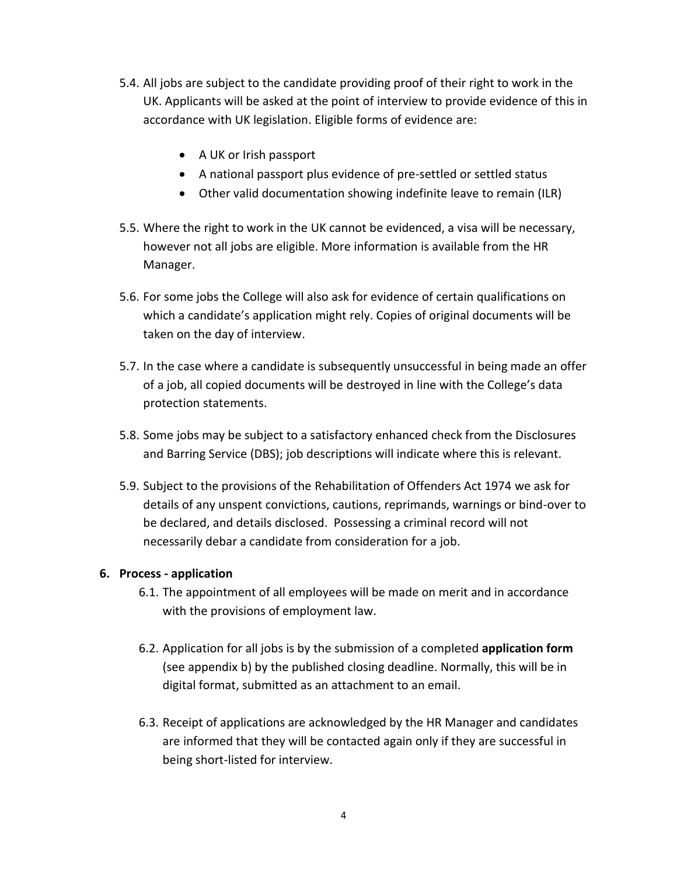- 5.4. All jobs are subject to the candidate providing proof of their right to work in the UK. Applicants will be asked at the point of interview to provide evidence of this in accordance with UK legislation. Eligible forms of evidence are:
	- A UK or Irish passport
	- A national passport plus evidence of pre-settled or settled status
	- Other valid documentation showing indefinite leave to remain (ILR)
- 5.5. Where the right to work in the UK cannot be evidenced, a visa will be necessary, however not all jobs are eligible. More information is available from the HR Manager.
- 5.6. For some jobs the College will also ask for evidence of certain qualifications on which a candidate's application might rely. Copies of original documents will be taken on the day of interview.
- 5.7. In the case where a candidate is subsequently unsuccessful in being made an offer of a job, all copied documents will be destroyed in line with the College's data protection statements.
- 5.8. Some jobs may be subject to a satisfactory enhanced check from the Disclosures and Barring Service (DBS); job descriptions will indicate where this is relevant.
- 5.9. Subject to the provisions of the Rehabilitation of Offenders Act 1974 we ask for details of any unspent convictions, cautions, reprimands, warnings or bind-over to be declared, and details disclosed. Possessing a criminal record will not necessarily debar a candidate from consideration for a job.

#### **6. Process - application**

- 6.1. The appointment of all employees will be made on merit and in accordance with the provisions of employment law.
- 6.2. Application for all jobs is by the submission of a completed **application form** (see appendix b) by the published closing deadline. Normally, this will be in digital format, submitted as an attachment to an email.
- 6.3. Receipt of applications are acknowledged by the HR Manager and candidates are informed that they will be contacted again only if they are successful in being short-listed for interview.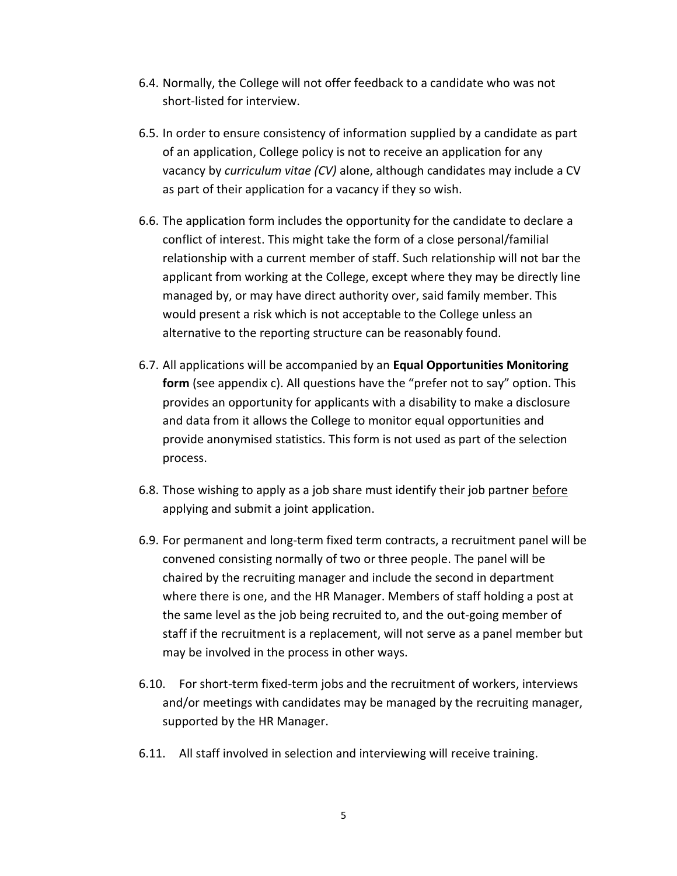- 6.4. Normally, the College will not offer feedback to a candidate who was not short-listed for interview.
- 6.5. In order to ensure consistency of information supplied by a candidate as part of an application, College policy is not to receive an application for any vacancy by *curriculum vitae (CV)* alone, although candidates may include a CV as part of their application for a vacancy if they so wish.
- 6.6. The application form includes the opportunity for the candidate to declare a conflict of interest. This might take the form of a close personal/familial relationship with a current member of staff. Such relationship will not bar the applicant from working at the College, except where they may be directly line managed by, or may have direct authority over, said family member. This would present a risk which is not acceptable to the College unless an alternative to the reporting structure can be reasonably found.
- 6.7. All applications will be accompanied by an **Equal Opportunities Monitoring form** (see appendix c). All questions have the "prefer not to say" option. This provides an opportunity for applicants with a disability to make a disclosure and data from it allows the College to monitor equal opportunities and provide anonymised statistics. This form is not used as part of the selection process.
- 6.8. Those wishing to apply as a job share must identify their job partner before applying and submit a joint application.
- 6.9. For permanent and long-term fixed term contracts, a recruitment panel will be convened consisting normally of two or three people. The panel will be chaired by the recruiting manager and include the second in department where there is one, and the HR Manager. Members of staff holding a post at the same level as the job being recruited to, and the out-going member of staff if the recruitment is a replacement, will not serve as a panel member but may be involved in the process in other ways.
- 6.10. For short-term fixed-term jobs and the recruitment of workers, interviews and/or meetings with candidates may be managed by the recruiting manager, supported by the HR Manager.
- 6.11. All staff involved in selection and interviewing will receive training.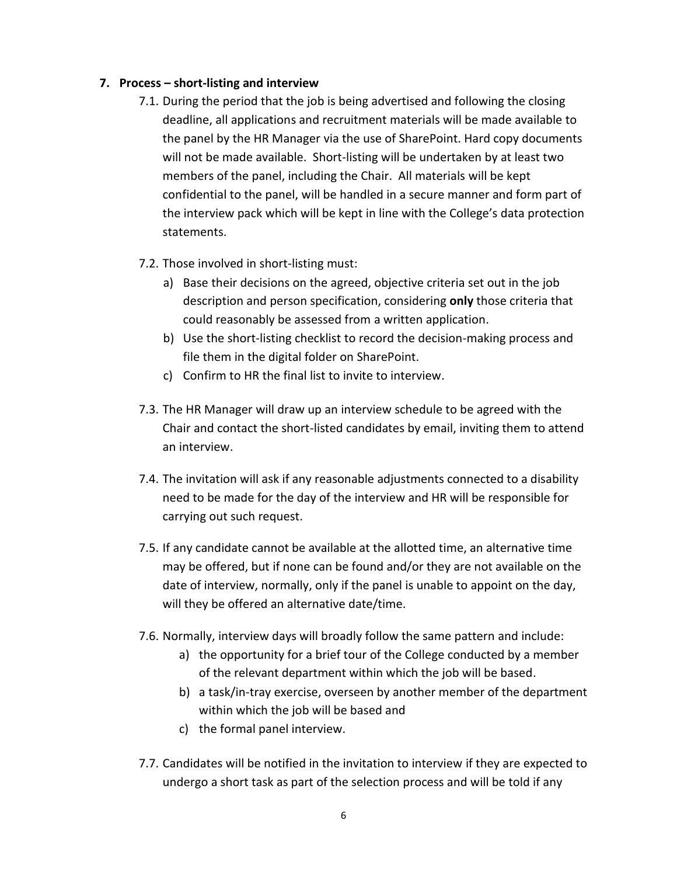#### **7. Process – short-listing and interview**

- 7.1. During the period that the job is being advertised and following the closing deadline, all applications and recruitment materials will be made available to the panel by the HR Manager via the use of SharePoint. Hard copy documents will not be made available. Short-listing will be undertaken by at least two members of the panel, including the Chair. All materials will be kept confidential to the panel, will be handled in a secure manner and form part of the interview pack which will be kept in line with the College's data protection statements.
- 7.2. Those involved in short-listing must:
	- a) Base their decisions on the agreed, objective criteria set out in the job description and person specification, considering **only** those criteria that could reasonably be assessed from a written application.
	- b) Use the short-listing checklist to record the decision-making process and file them in the digital folder on SharePoint.
	- c) Confirm to HR the final list to invite to interview.
- 7.3. The HR Manager will draw up an interview schedule to be agreed with the Chair and contact the short-listed candidates by email, inviting them to attend an interview.
- 7.4. The invitation will ask if any reasonable adjustments connected to a disability need to be made for the day of the interview and HR will be responsible for carrying out such request.
- 7.5. If any candidate cannot be available at the allotted time, an alternative time may be offered, but if none can be found and/or they are not available on the date of interview, normally, only if the panel is unable to appoint on the day, will they be offered an alternative date/time.
- 7.6. Normally, interview days will broadly follow the same pattern and include:
	- a) the opportunity for a brief tour of the College conducted by a member of the relevant department within which the job will be based.
	- b) a task/in-tray exercise, overseen by another member of the department within which the job will be based and
	- c) the formal panel interview.
- 7.7. Candidates will be notified in the invitation to interview if they are expected to undergo a short task as part of the selection process and will be told if any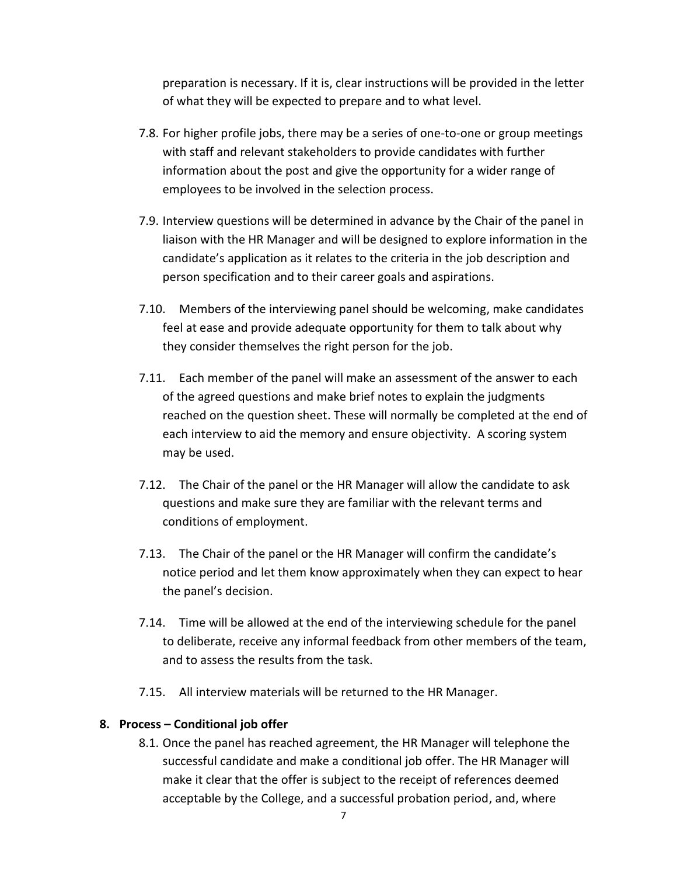preparation is necessary. If it is, clear instructions will be provided in the letter of what they will be expected to prepare and to what level.

- 7.8. For higher profile jobs, there may be a series of one-to-one or group meetings with staff and relevant stakeholders to provide candidates with further information about the post and give the opportunity for a wider range of employees to be involved in the selection process.
- 7.9. Interview questions will be determined in advance by the Chair of the panel in liaison with the HR Manager and will be designed to explore information in the candidate's application as it relates to the criteria in the job description and person specification and to their career goals and aspirations.
- 7.10. Members of the interviewing panel should be welcoming, make candidates feel at ease and provide adequate opportunity for them to talk about why they consider themselves the right person for the job.
- 7.11. Each member of the panel will make an assessment of the answer to each of the agreed questions and make brief notes to explain the judgments reached on the question sheet. These will normally be completed at the end of each interview to aid the memory and ensure objectivity. A scoring system may be used.
- 7.12. The Chair of the panel or the HR Manager will allow the candidate to ask questions and make sure they are familiar with the relevant terms and conditions of employment.
- 7.13. The Chair of the panel or the HR Manager will confirm the candidate's notice period and let them know approximately when they can expect to hear the panel's decision.
- 7.14. Time will be allowed at the end of the interviewing schedule for the panel to deliberate, receive any informal feedback from other members of the team, and to assess the results from the task.
- 7.15. All interview materials will be returned to the HR Manager.

#### **8. Process – Conditional job offer**

8.1. Once the panel has reached agreement, the HR Manager will telephone the successful candidate and make a conditional job offer. The HR Manager will make it clear that the offer is subject to the receipt of references deemed acceptable by the College, and a successful probation period, and, where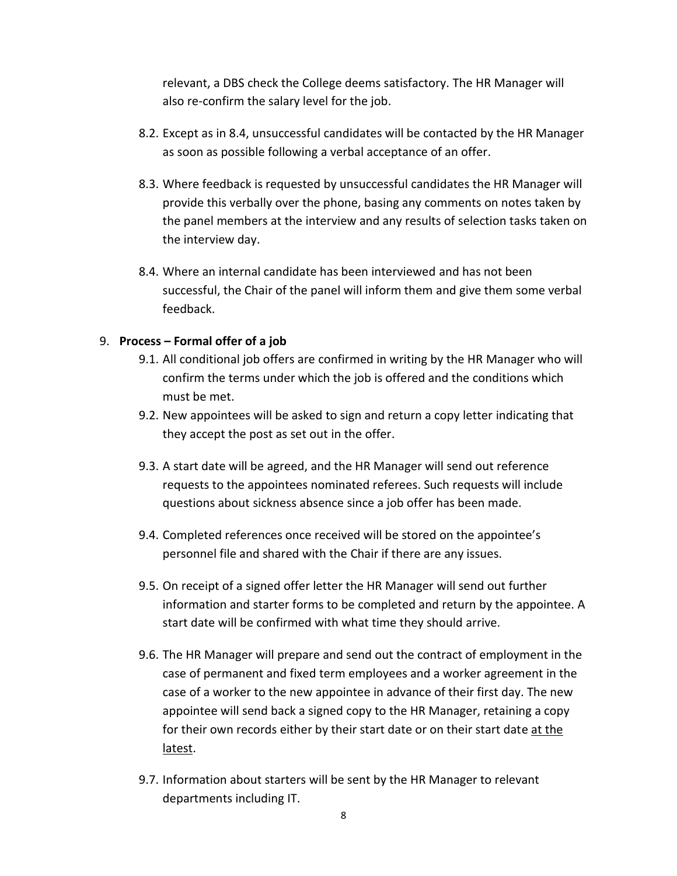relevant, a DBS check the College deems satisfactory. The HR Manager will also re-confirm the salary level for the job.

- 8.2. Except as in 8.4, unsuccessful candidates will be contacted by the HR Manager as soon as possible following a verbal acceptance of an offer.
- 8.3. Where feedback is requested by unsuccessful candidates the HR Manager will provide this verbally over the phone, basing any comments on notes taken by the panel members at the interview and any results of selection tasks taken on the interview day.
- 8.4. Where an internal candidate has been interviewed and has not been successful, the Chair of the panel will inform them and give them some verbal feedback.

#### 9. **Process – Formal offer of a job**

- 9.1. All conditional job offers are confirmed in writing by the HR Manager who will confirm the terms under which the job is offered and the conditions which must be met.
- 9.2. New appointees will be asked to sign and return a copy letter indicating that they accept the post as set out in the offer.
- 9.3. A start date will be agreed, and the HR Manager will send out reference requests to the appointees nominated referees. Such requests will include questions about sickness absence since a job offer has been made.
- 9.4. Completed references once received will be stored on the appointee's personnel file and shared with the Chair if there are any issues.
- 9.5. On receipt of a signed offer letter the HR Manager will send out further information and starter forms to be completed and return by the appointee. A start date will be confirmed with what time they should arrive.
- 9.6. The HR Manager will prepare and send out the contract of employment in the case of permanent and fixed term employees and a worker agreement in the case of a worker to the new appointee in advance of their first day. The new appointee will send back a signed copy to the HR Manager, retaining a copy for their own records either by their start date or on their start date at the latest.
- 9.7. Information about starters will be sent by the HR Manager to relevant departments including IT.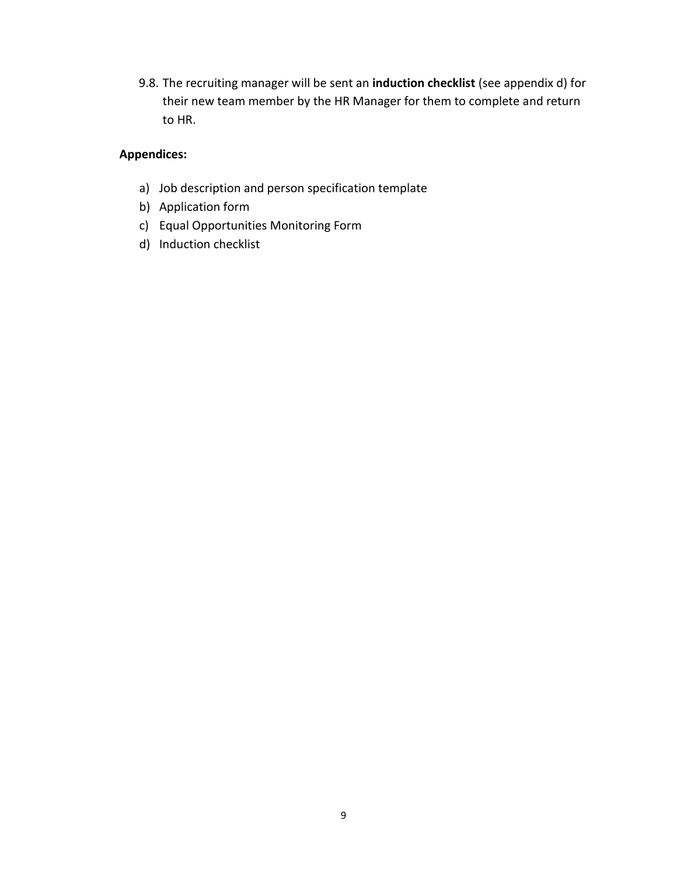9.8. The recruiting manager will be sent an **induction checklist** (see appendix d) for their new team member by the HR Manager for them to complete and return to HR.

### **Appendices:**

- a) Job description and person specification template
- b) Application form
- c) Equal Opportunities Monitoring Form
- d) Induction checklist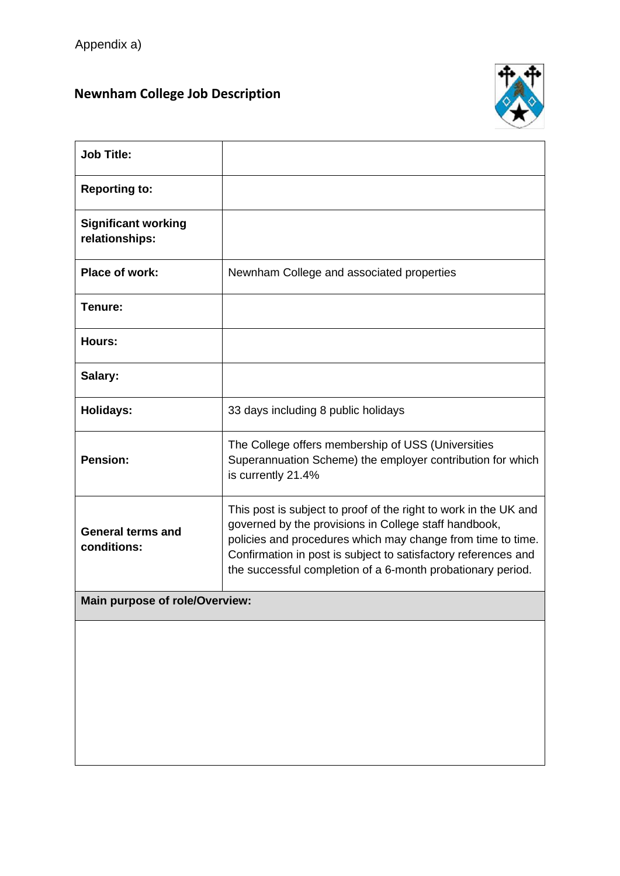## **Newnham College Job Description**



| <b>Job Title:</b>                            |                                                                                                                                                                                                                                                                                                                           |
|----------------------------------------------|---------------------------------------------------------------------------------------------------------------------------------------------------------------------------------------------------------------------------------------------------------------------------------------------------------------------------|
| <b>Reporting to:</b>                         |                                                                                                                                                                                                                                                                                                                           |
| <b>Significant working</b><br>relationships: |                                                                                                                                                                                                                                                                                                                           |
| Place of work:                               | Newnham College and associated properties                                                                                                                                                                                                                                                                                 |
| Tenure:                                      |                                                                                                                                                                                                                                                                                                                           |
| Hours:                                       |                                                                                                                                                                                                                                                                                                                           |
| Salary:                                      |                                                                                                                                                                                                                                                                                                                           |
| <b>Holidays:</b>                             | 33 days including 8 public holidays                                                                                                                                                                                                                                                                                       |
| <b>Pension:</b>                              | The College offers membership of USS (Universities<br>Superannuation Scheme) the employer contribution for which<br>is currently 21.4%                                                                                                                                                                                    |
| <b>General terms and</b><br>conditions:      | This post is subject to proof of the right to work in the UK and<br>governed by the provisions in College staff handbook,<br>policies and procedures which may change from time to time.<br>Confirmation in post is subject to satisfactory references and<br>the successful completion of a 6-month probationary period. |
| Main purpose of role/Overview:               |                                                                                                                                                                                                                                                                                                                           |
|                                              |                                                                                                                                                                                                                                                                                                                           |
|                                              |                                                                                                                                                                                                                                                                                                                           |
|                                              |                                                                                                                                                                                                                                                                                                                           |
|                                              |                                                                                                                                                                                                                                                                                                                           |
|                                              |                                                                                                                                                                                                                                                                                                                           |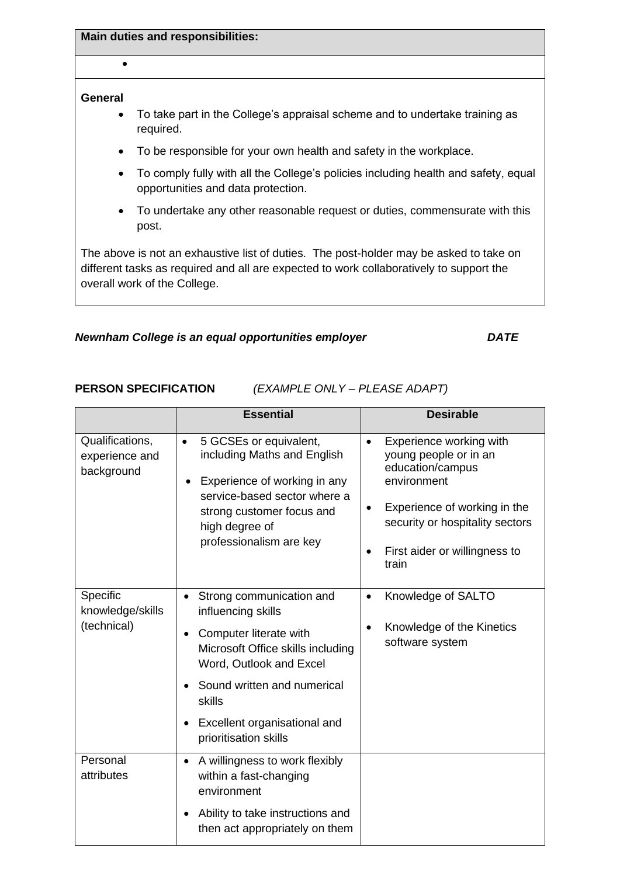**Main duties and responsibilities:**

#### **General**

•

- To take part in the College's appraisal scheme and to undertake training as required.
- To be responsible for your own health and safety in the workplace.
- To comply fully with all the College's policies including health and safety, equal opportunities and data protection.
- To undertake any other reasonable request or duties, commensurate with this post.

The above is not an exhaustive list of duties. The post-holder may be asked to take on different tasks as required and all are expected to work collaboratively to support the overall work of the College.

#### *Newnham College is an equal opportunities employer DATE*

**PERSON SPECIFICATION** *(EXAMPLE ONLY – PLEASE ADAPT)*

|                                                 | <b>Essential</b>                                                                                                                                                                                                                           | <b>Desirable</b>                                                                                                                                                                                                                        |
|-------------------------------------------------|--------------------------------------------------------------------------------------------------------------------------------------------------------------------------------------------------------------------------------------------|-----------------------------------------------------------------------------------------------------------------------------------------------------------------------------------------------------------------------------------------|
| Qualifications,<br>experience and<br>background | 5 GCSEs or equivalent,<br>$\bullet$<br>including Maths and English<br>Experience of working in any<br>service-based sector where a<br>strong customer focus and<br>high degree of<br>professionalism are key                               | Experience working with<br>$\bullet$<br>young people or in an<br>education/campus<br>environment<br>Experience of working in the<br>$\bullet$<br>security or hospitality sectors<br>First aider or willingness to<br>$\bullet$<br>train |
| Specific<br>knowledge/skills<br>(technical)     | Strong communication and<br>influencing skills<br>Computer literate with<br>Microsoft Office skills including<br>Word, Outlook and Excel<br>Sound written and numerical<br>skills<br>Excellent organisational and<br>prioritisation skills | Knowledge of SALTO<br>$\bullet$<br>Knowledge of the Kinetics<br>software system                                                                                                                                                         |
| Personal<br>attributes                          | A willingness to work flexibly<br>$\bullet$<br>within a fast-changing<br>environment<br>Ability to take instructions and<br>$\bullet$<br>then act appropriately on them                                                                    |                                                                                                                                                                                                                                         |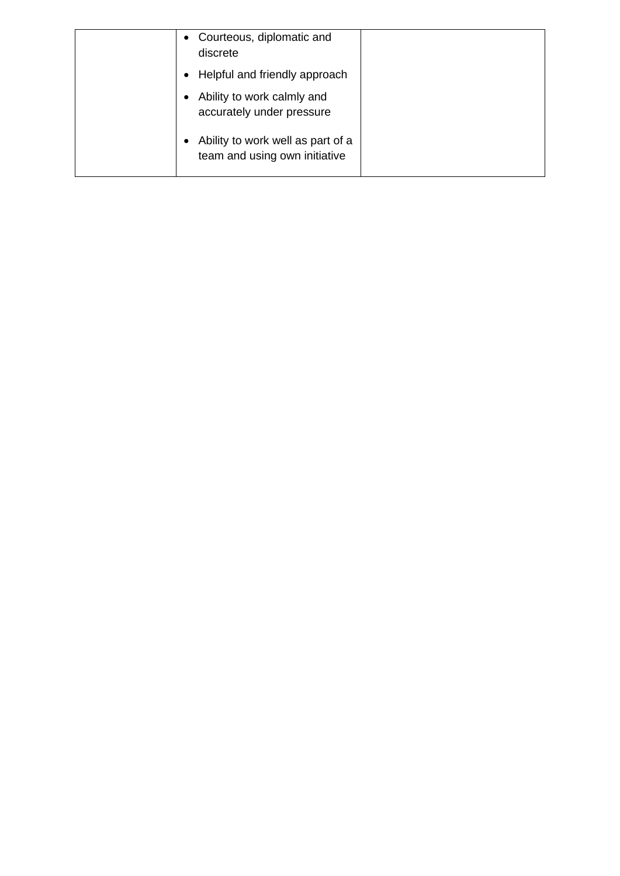| Courteous, diplomatic and<br>$\bullet$<br>discrete                 |
|--------------------------------------------------------------------|
| Helpful and friendly approach                                      |
| Ability to work calmly and<br>accurately under pressure            |
| Ability to work well as part of a<br>team and using own initiative |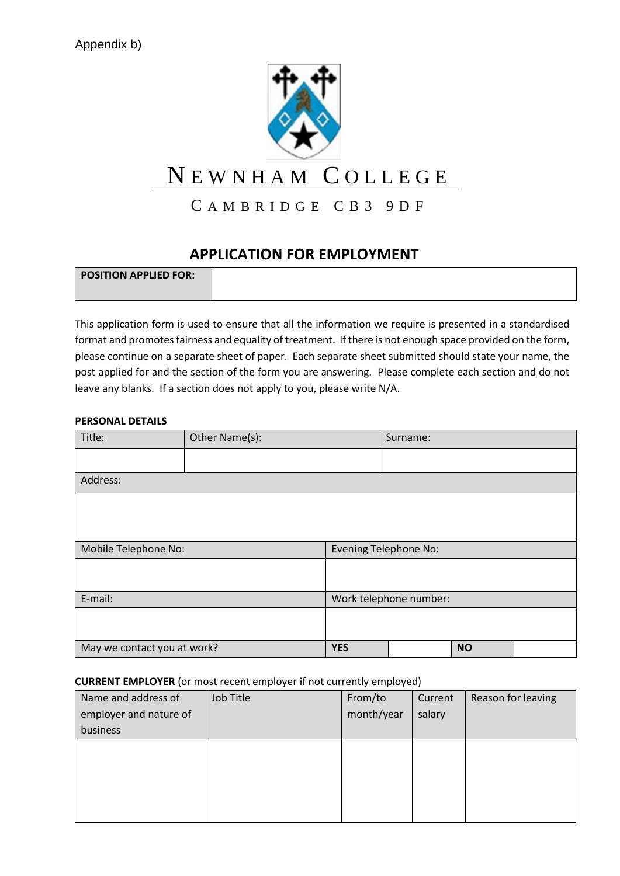

# N E W N H A M C O L L E G E

### CAMBRIDGE CB3 9DF

### **APPLICATION FOR EMPLOYMENT**

| <b>POSITION APPLIED FOR:</b> |  |
|------------------------------|--|
|                              |  |
|                              |  |

This application form is used to ensure that all the information we require is presented in a standardised format and promotes fairness and equality of treatment. If there is not enough space provided on the form, please continue on a separate sheet of paper. Each separate sheet submitted should state your name, the post applied for and the section of the form you are answering. Please complete each section and do not leave any blanks. If a section does not apply to you, please write N/A.

#### **PERSONAL DETAILS**

| Title:                      | Other Name(s): |            | Surname:                     |           |  |
|-----------------------------|----------------|------------|------------------------------|-----------|--|
|                             |                |            |                              |           |  |
| Address:                    |                |            |                              |           |  |
|                             |                |            |                              |           |  |
|                             |                |            |                              |           |  |
| Mobile Telephone No:        |                |            | <b>Evening Telephone No:</b> |           |  |
|                             |                |            |                              |           |  |
|                             |                |            |                              |           |  |
| E-mail:                     |                |            | Work telephone number:       |           |  |
|                             |                |            |                              |           |  |
|                             |                |            |                              |           |  |
| May we contact you at work? |                | <b>YES</b> |                              | <b>NO</b> |  |

#### **CURRENT EMPLOYER** (or most recent employer if not currently employed)

| Name and address of    | Job Title | From/to    | Current | Reason for leaving |
|------------------------|-----------|------------|---------|--------------------|
| employer and nature of |           | month/year | salary  |                    |
| business               |           |            |         |                    |
|                        |           |            |         |                    |
|                        |           |            |         |                    |
|                        |           |            |         |                    |
|                        |           |            |         |                    |
|                        |           |            |         |                    |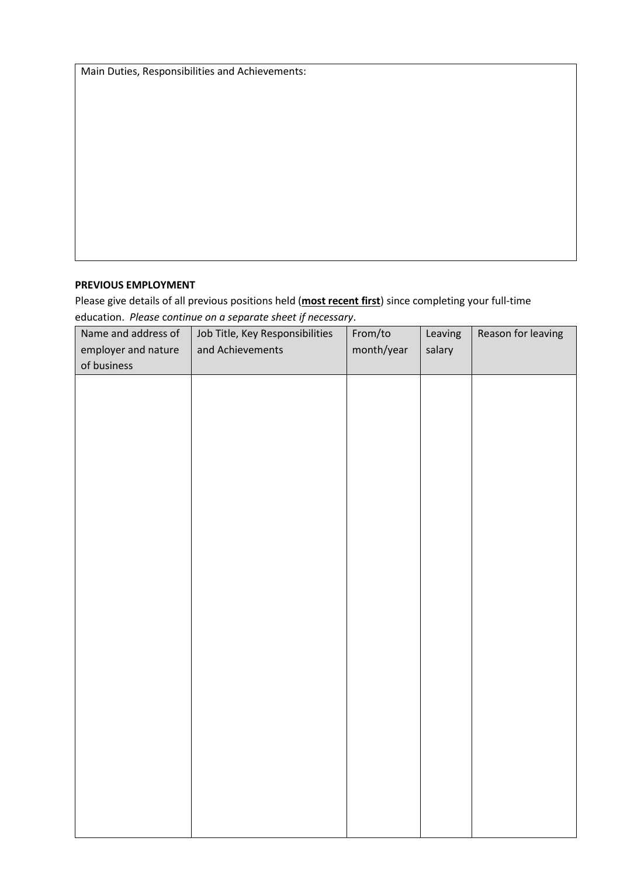Main Duties, Responsibilities and Achievements:

#### **PREVIOUS EMPLOYMENT**

Please give details of all previous positions held (**most recent first**) since completing your full-time education. *Please* c*ontinue on a separate sheet if necessary*.

| Name and address of<br>employer and nature<br>of business | Job Title, Key Responsibilities<br>and Achievements | From/to<br>month/year | Leaving<br>salary | Reason for leaving |
|-----------------------------------------------------------|-----------------------------------------------------|-----------------------|-------------------|--------------------|
|                                                           |                                                     |                       |                   |                    |
|                                                           |                                                     |                       |                   |                    |
|                                                           |                                                     |                       |                   |                    |
|                                                           |                                                     |                       |                   |                    |
|                                                           |                                                     |                       |                   |                    |
|                                                           |                                                     |                       |                   |                    |
|                                                           |                                                     |                       |                   |                    |
|                                                           |                                                     |                       |                   |                    |
|                                                           |                                                     |                       |                   |                    |
|                                                           |                                                     |                       |                   |                    |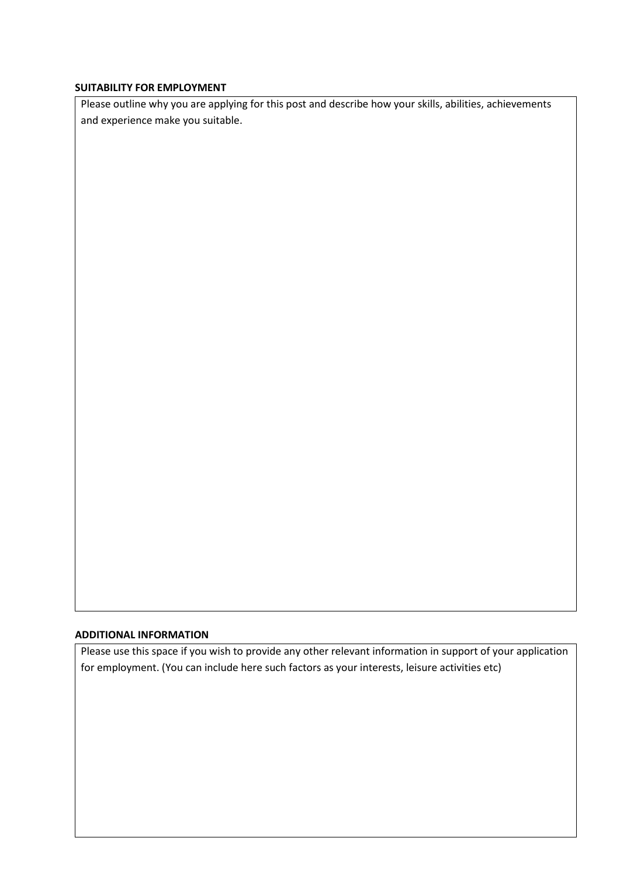#### **SUITABILITY FOR EMPLOYMENT**

Please outline why you are applying for this post and describe how your skills, abilities, achievements and experience make you suitable.

#### **ADDITIONAL INFORMATION**

Please use this space if you wish to provide any other relevant information in support of your application for employment. (You can include here such factors as your interests, leisure activities etc)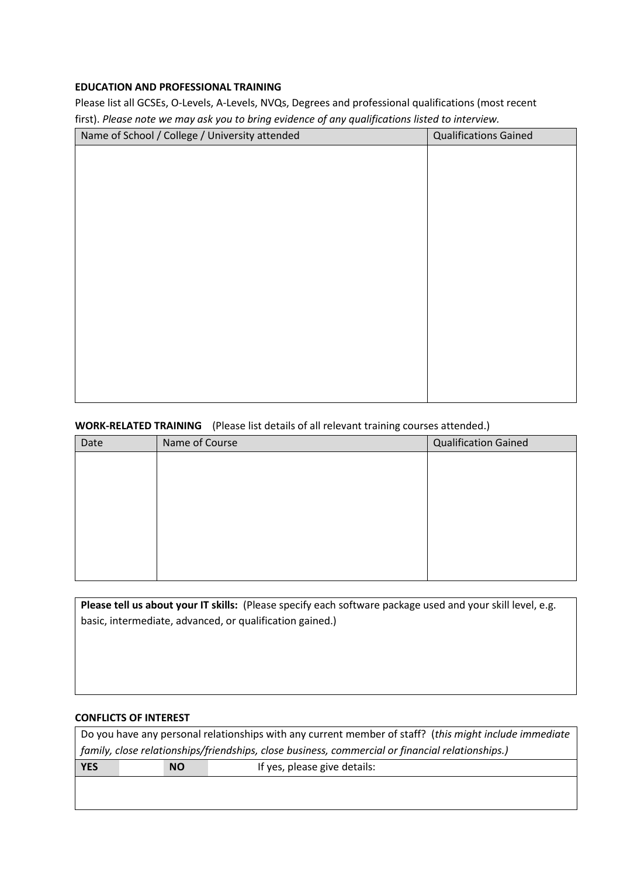#### **EDUCATION AND PROFESSIONAL TRAINING**

Please list all GCSEs, O-Levels, A-Levels, NVQs, Degrees and professional qualifications (most recent first). *Please note we may ask you to bring evidence of any qualifications listed to interview.*

| Name of School / College / University attended | <b>Qualifications Gained</b> |
|------------------------------------------------|------------------------------|
|                                                |                              |
|                                                |                              |
|                                                |                              |
|                                                |                              |
|                                                |                              |
|                                                |                              |
|                                                |                              |
|                                                |                              |
|                                                |                              |
|                                                |                              |
|                                                |                              |
|                                                |                              |
|                                                |                              |
|                                                |                              |
|                                                |                              |

#### **WORK-RELATED TRAINING** (Please list details of all relevant training courses attended.)

| Date | Name of Course | <b>Qualification Gained</b> |
|------|----------------|-----------------------------|
|      |                |                             |
|      |                |                             |
|      |                |                             |
|      |                |                             |
|      |                |                             |
|      |                |                             |
|      |                |                             |
|      |                |                             |

**Please tell us about your IT skills:** (Please specify each software package used and your skill level, e.g. basic, intermediate, advanced, or qualification gained.)

#### **CONFLICTS OF INTEREST**

|            | Do you have any personal relationships with any current member of staff? (this might include immediate |                              |  |  |  |
|------------|--------------------------------------------------------------------------------------------------------|------------------------------|--|--|--|
|            | family, close relationships/friendships, close business, commercial or financial relationships.)       |                              |  |  |  |
| <b>YES</b> | <b>NO</b>                                                                                              | If yes, please give details: |  |  |  |
|            |                                                                                                        |                              |  |  |  |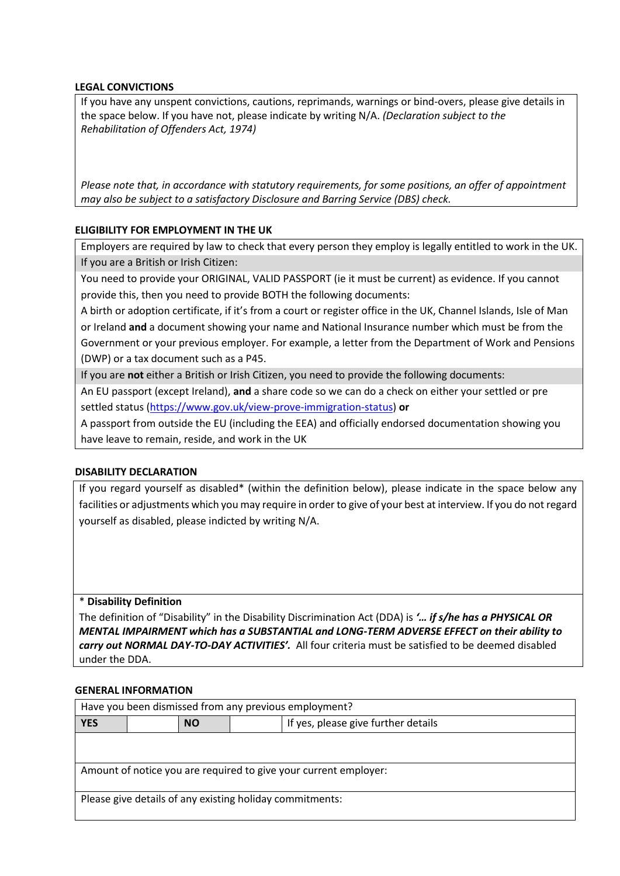#### **LEGAL CONVICTIONS**

If you have any unspent convictions, cautions, reprimands, warnings or bind-overs, please give details in the space below. If you have not, please indicate by writing N/A. *(Declaration subject to the Rehabilitation of Offenders Act, 1974)*

*Please note that, in accordance with statutory requirements, for some positions, an offer of appointment may also be subject to a satisfactory Disclosure and Barring Service (DBS) check.* 

#### **ELIGIBILITY FOR EMPLOYMENT IN THE UK**

Employers are required by law to check that every person they employ is legally entitled to work in the UK. If you are a British or Irish Citizen:

You need to provide your ORIGINAL, VALID PASSPORT (ie it must be current) as evidence. If you cannot provide this, then you need to provide BOTH the following documents:

A birth or adoption certificate, if it's from a court or register office in the UK, Channel Islands, Isle of Man or Ireland **and** a document showing your name and National Insurance number which must be from the Government or your previous employer. For example, a letter from the Department of Work and Pensions (DWP) or a tax document such as a P45.

If you are **not** either a British or Irish Citizen, you need to provide the following documents:

An EU passport (except Ireland), **and** a share code so we can do a check on either your settled or pre settled status [\(https://www.gov.uk/view-prove-immigration-status\)](https://www.gov.uk/view-prove-immigration-status) **or**

A passport from outside the EU (including the EEA) and officially endorsed documentation showing you have leave to remain, reside, and work in the UK

#### **DISABILITY DECLARATION**

If you regard yourself as disabled\* (within the definition below), please indicate in the space below any facilities or adjustments which you may require in order to give of your best at interview. If you do not regard yourself as disabled, please indicted by writing N/A.

\* **Disability Definition**

The definition of "Disability" in the Disability Discrimination Act (DDA) is *'… if s/he has a PHYSICAL OR MENTAL IMPAIRMENT which has a SUBSTANTIAL and LONG-TERM ADVERSE EFFECT on their ability to carry out NORMAL DAY-TO-DAY ACTIVITIES'.* All four criteria must be satisfied to be deemed disabled under the DDA.

#### **GENERAL INFORMATION**

| Have you been dismissed from any previous employment?            |  |  |  |  |
|------------------------------------------------------------------|--|--|--|--|
| If yes, please give further details<br><b>YES</b><br><b>NO</b>   |  |  |  |  |
|                                                                  |  |  |  |  |
|                                                                  |  |  |  |  |
| Amount of notice you are required to give your current employer: |  |  |  |  |
|                                                                  |  |  |  |  |
| Please give details of any existing holiday commitments:         |  |  |  |  |
|                                                                  |  |  |  |  |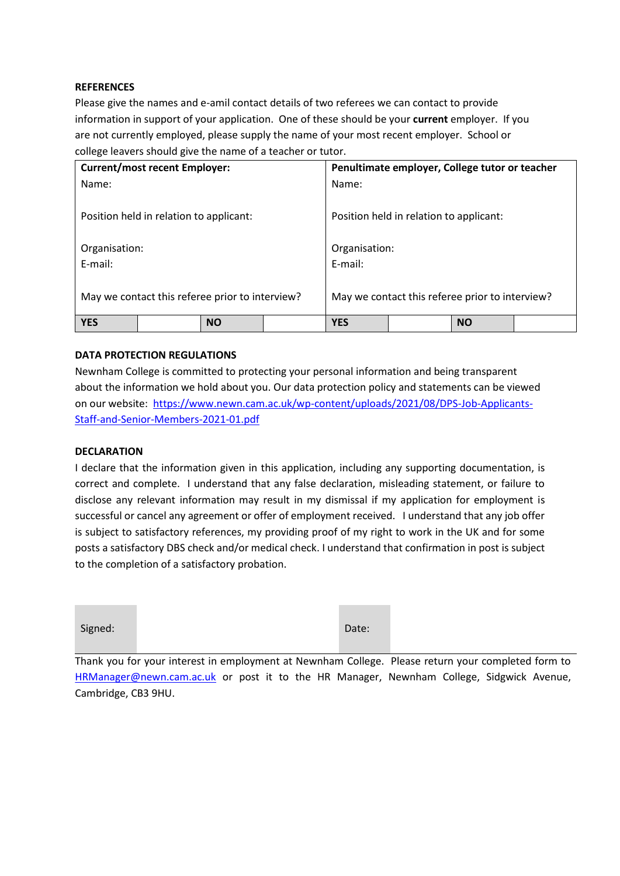#### **REFERENCES**

Please give the names and e-amil contact details of two referees we can contact to provide information in support of your application. One of these should be your **current** employer. If you are not currently employed, please supply the name of your most recent employer. School or college leavers should give the name of a teacher or tutor.

| <b>Current/most recent Employer:</b>            |           | Penultimate employer, College tutor or teacher  |            |  |           |  |
|-------------------------------------------------|-----------|-------------------------------------------------|------------|--|-----------|--|
| Name:                                           |           |                                                 | Name:      |  |           |  |
| Position held in relation to applicant:         |           | Position held in relation to applicant:         |            |  |           |  |
| Organisation:                                   |           | Organisation:                                   |            |  |           |  |
| E-mail:                                         |           | E-mail:                                         |            |  |           |  |
| May we contact this referee prior to interview? |           | May we contact this referee prior to interview? |            |  |           |  |
| <b>YES</b>                                      | <b>NO</b> |                                                 | <b>YES</b> |  | <b>NO</b> |  |

#### **DATA PROTECTION REGULATIONS**

Newnham College is committed to protecting your personal information and being transparent about the information we hold about you. Our data protection policy and statements can be viewed on our website: [https://www.newn.cam.ac.uk/wp-content/uploads/2021/08/DPS-Job-Applicants-](https://www.newn.cam.ac.uk/wp-content/uploads/2021/08/DPS-Job-Applicants-Staff-and-Senior-Members-2021-01.pdf)[Staff-and-Senior-Members-2021-01.pdf](https://www.newn.cam.ac.uk/wp-content/uploads/2021/08/DPS-Job-Applicants-Staff-and-Senior-Members-2021-01.pdf)

#### **DECLARATION**

the control of the control of the

I declare that the information given in this application, including any supporting documentation, is correct and complete. I understand that any false declaration, misleading statement, or failure to disclose any relevant information may result in my dismissal if my application for employment is successful or cancel any agreement or offer of employment received. I understand that any job offer is subject to satisfactory references, my providing proof of my right to work in the UK and for some posts a satisfactory DBS check and/or medical check. I understand that confirmation in post is subject to the completion of a satisfactory probation.

| Signed: |  | Date: |
|---------|--|-------|
|---------|--|-------|

Thank you for your interest in employment at Newnham College. Please return your completed form to [HRManager@newn.cam.ac.uk](mailto:HRManager@newn.cam.ac.uk) or post it to the HR Manager, Newnham College, Sidgwick Avenue, Cambridge, CB3 9HU.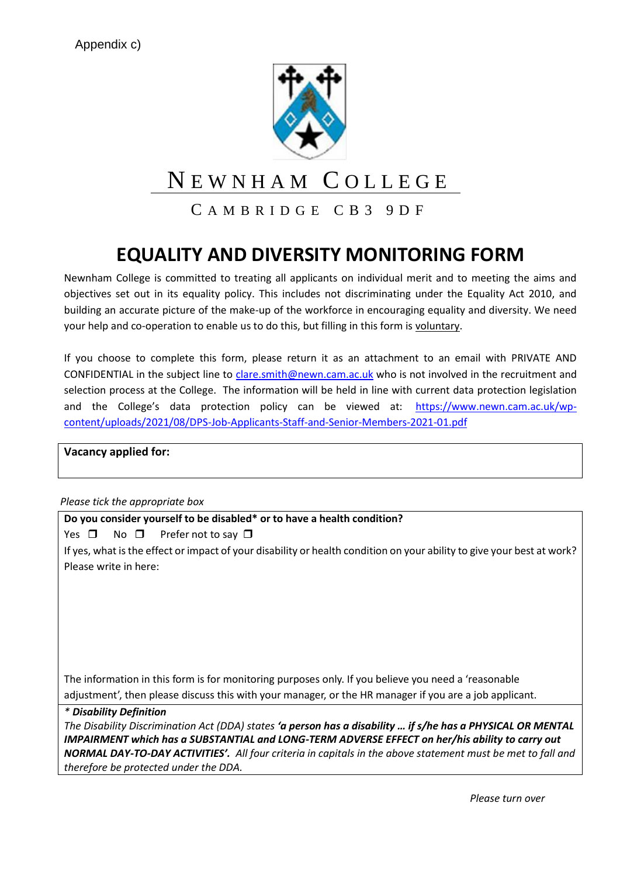

# N E W N H A M C O L L E G E

CAMBRIDGE CB3 9DF

# **EQUALITY AND DIVERSITY MONITORING FORM**

Newnham College is committed to treating all applicants on individual merit and to meeting the aims and objectives set out in its equality policy. This includes not discriminating under the Equality Act 2010, and building an accurate picture of the make-up of the workforce in encouraging equality and diversity. We need your help and co-operation to enable us to do this, but filling in this form is voluntary.

If you choose to complete this form, please return it as an attachment to an email with PRIVATE AND CONFIDENTIAL in the subject line to [clare.smith@newn.cam.ac.uk](mailto:clare.smith@newn.cam.ac.uk) who is not involved in the recruitment and selection process at the College. The information will be held in line with current data protection legislation and the College's data protection policy can be viewed at: [https://www.newn.cam.ac.uk/wp](https://www.newn.cam.ac.uk/wp-content/uploads/2021/08/DPS-Job-Applicants-Staff-and-Senior-Members-2021-01.pdf)[content/uploads/2021/08/DPS-Job-Applicants-Staff-and-Senior-Members-2021-01.pdf](https://www.newn.cam.ac.uk/wp-content/uploads/2021/08/DPS-Job-Applicants-Staff-and-Senior-Members-2021-01.pdf)

**Vacancy applied for:**

*Please tick the appropriate box*

**Do you consider yourself to be disabled\* or to have a health condition?**

Yes  $\Box$  No  $\Box$  Prefer not to say  $\Box$ 

If yes, what is the effect or impact of your disability or health condition on your ability to give your best at work? Please write in here:

The information in this form is for monitoring purposes only. If you believe you need a 'reasonable adjustment', then please discuss this with your manager, or the HR manager if you are a job applicant.

*\* Disability Definition The Disability Discrimination Act (DDA) states 'a person has a disability … if s/he has a PHYSICAL OR MENTAL IMPAIRMENT which has a SUBSTANTIAL and LONG-TERM ADVERSE EFFECT on her/his ability to carry out NORMAL DAY-TO-DAY ACTIVITIES'. All four criteria in capitals in the above statement must be met to fall and therefore be protected under the DDA.*

*Please turn over*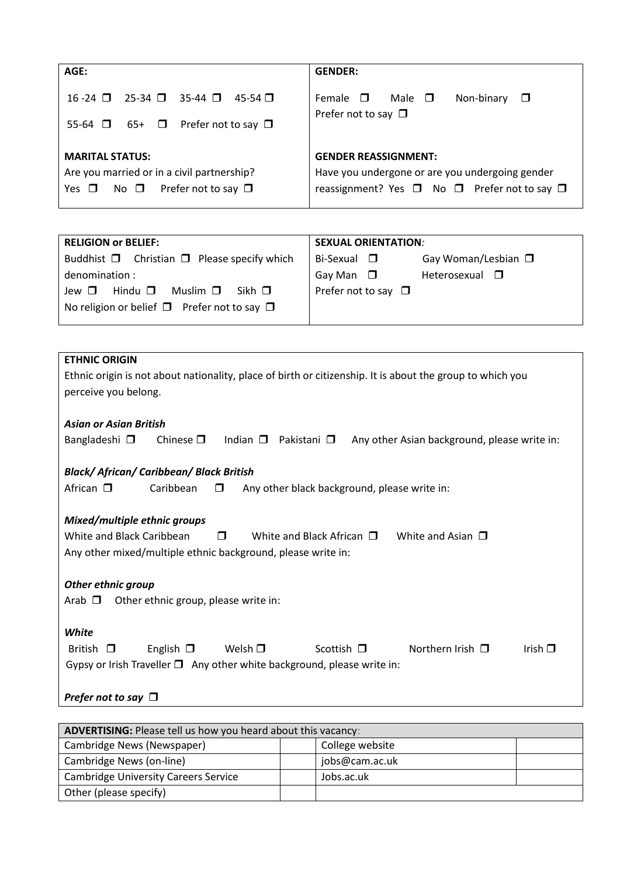| AGE:                                                                                                                           | <b>GENDER:</b>                                                                                                                 |
|--------------------------------------------------------------------------------------------------------------------------------|--------------------------------------------------------------------------------------------------------------------------------|
| $25-34$ $\Box$ 35-44 $\Box$ 45-54 $\Box$<br>$16 - 24$ $\Box$<br>Prefer not to say $\Box$<br>55-64 $\Box$<br>65+ □              | Female $\square$<br>— Male⊥ □<br>Non-binary<br>$\Box$<br>Prefer not to say $\square$                                           |
| <b>MARITAL STATUS:</b><br>Are you married or in a civil partnership?<br>Prefer not to say $\Box$<br>Yes $\Box$<br>No $\square$ | <b>GENDER REASSIGNMENT:</b><br>Have you undergone or are you undergoing gender<br>reassignment? Yes □ No □ Prefer not to say □ |

| <b>RELIGION or BELIEF:</b>                                  | <b>SEXUAL ORIENTATION:</b>                      |  |  |
|-------------------------------------------------------------|-------------------------------------------------|--|--|
| Buddhist $\Box$ Christian $\Box$ Please specify which       | Gay Woman/Lesbian $\square$<br>Bi-Sexual $\Box$ |  |  |
| denomination:                                               | Gay Man $\Box$<br>Heterosexual $\Box$           |  |  |
| Hindu $\Box$<br>Muslim $\Box$<br>Sikh $\Pi$<br>Jew $\Box$   | Prefer not to say $\Box$                        |  |  |
| No religion or belief $\square$ Prefer not to say $\square$ |                                                 |  |  |
|                                                             |                                                 |  |  |

| <b>ETHNIC ORIGIN</b>                                                                                                               |  |  |  |  |
|------------------------------------------------------------------------------------------------------------------------------------|--|--|--|--|
| Ethnic origin is not about nationality, place of birth or citizenship. It is about the group to which you                          |  |  |  |  |
| perceive you belong.                                                                                                               |  |  |  |  |
|                                                                                                                                    |  |  |  |  |
| <b>Asian or Asian British</b>                                                                                                      |  |  |  |  |
| Indian $\square$<br>Pakistani $\square$<br>Bangladeshi $\square$<br>Chinese $\Box$<br>Any other Asian background, please write in: |  |  |  |  |
|                                                                                                                                    |  |  |  |  |
| <b>Black/African/Caribbean/Black British</b>                                                                                       |  |  |  |  |
| African $\square$<br>Caribbean<br>Any other black background, please write in:<br>$\Box$                                           |  |  |  |  |
|                                                                                                                                    |  |  |  |  |
| Mixed/multiple ethnic groups                                                                                                       |  |  |  |  |
| White and Black Caribbean<br>White and Black African $\Box$<br>White and Asian $\Box$<br>П                                         |  |  |  |  |
| Any other mixed/multiple ethnic background, please write in:                                                                       |  |  |  |  |
|                                                                                                                                    |  |  |  |  |
| <b>Other ethnic group</b>                                                                                                          |  |  |  |  |
| Other ethnic group, please write in:<br>Arab □                                                                                     |  |  |  |  |
|                                                                                                                                    |  |  |  |  |
| White                                                                                                                              |  |  |  |  |
| Northern Irish $\Box$<br>Scottish $\Box$<br>British $\Box$<br>English $\Box$<br>Welsh $\Box$<br>Irish $\Box$                       |  |  |  |  |
| Gypsy or Irish Traveller $\square$ Any other white background, please write in:                                                    |  |  |  |  |
|                                                                                                                                    |  |  |  |  |
| Prefer not to say $\Box$                                                                                                           |  |  |  |  |
|                                                                                                                                    |  |  |  |  |

| ADVERTISING: Please tell us how you heard about this vacancy: |                |  |  |
|---------------------------------------------------------------|----------------|--|--|
| Cambridge News (Newspaper)<br>College website                 |                |  |  |
| Cambridge News (on-line)                                      | jobs@cam.ac.uk |  |  |
| <b>Cambridge University Careers Service</b>                   | Jobs.ac.uk     |  |  |
| Other (please specify)                                        |                |  |  |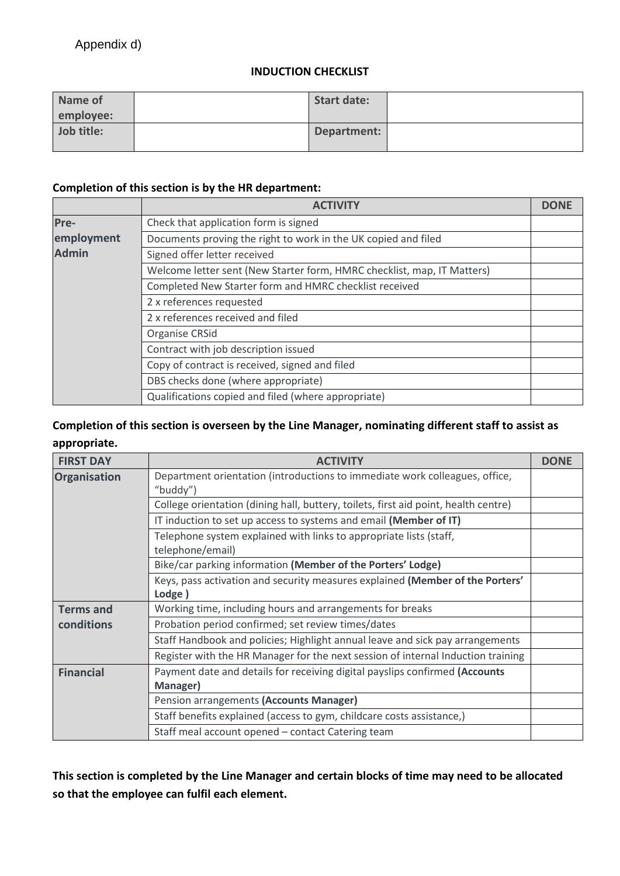### **INDUCTION CHECKLIST**

| Name of    | <b>Start date:</b> |  |
|------------|--------------------|--|
| employee:  |                    |  |
| Job title: | Department:        |  |

#### **Completion of this section is by the HR department:**

|              | <b>ACTIVITY</b>                                                         | <b>DONE</b> |
|--------------|-------------------------------------------------------------------------|-------------|
| Pre-         | Check that application form is signed                                   |             |
| employment   | Documents proving the right to work in the UK copied and filed          |             |
| <b>Admin</b> | Signed offer letter received                                            |             |
|              | Welcome letter sent (New Starter form, HMRC checklist, map, IT Matters) |             |
|              | Completed New Starter form and HMRC checklist received                  |             |
|              | 2 x references requested                                                |             |
|              | 2 x references received and filed                                       |             |
|              | Organise CRSid                                                          |             |
|              | Contract with job description issued                                    |             |
|              | Copy of contract is received, signed and filed                          |             |
|              | DBS checks done (where appropriate)                                     |             |
|              | Qualifications copied and filed (where appropriate)                     |             |

### **Completion of this section is overseen by the Line Manager, nominating different staff to assist as appropriate.**

| <b>FIRST DAY</b>    | <b>ACTIVITY</b>                                                                         | <b>DONE</b> |
|---------------------|-----------------------------------------------------------------------------------------|-------------|
| <b>Organisation</b> | Department orientation (introductions to immediate work colleagues, office,<br>"buddy") |             |
|                     | College orientation (dining hall, buttery, toilets, first aid point, health centre)     |             |
|                     | IT induction to set up access to systems and email (Member of IT)                       |             |
|                     | Telephone system explained with links to appropriate lists (staff,<br>telephone/email)  |             |
|                     | Bike/car parking information (Member of the Porters' Lodge)                             |             |
|                     | Keys, pass activation and security measures explained (Member of the Porters'<br>Lodge) |             |
| <b>Terms and</b>    | Working time, including hours and arrangements for breaks                               |             |
| conditions          | Probation period confirmed; set review times/dates                                      |             |
|                     | Staff Handbook and policies; Highlight annual leave and sick pay arrangements           |             |
|                     | Register with the HR Manager for the next session of internal Induction training        |             |
| <b>Financial</b>    | Payment date and details for receiving digital payslips confirmed (Accounts<br>Manager) |             |
|                     | Pension arrangements (Accounts Manager)                                                 |             |
|                     | Staff benefits explained (access to gym, childcare costs assistance,)                   |             |
|                     | Staff meal account opened - contact Catering team                                       |             |

**This section is completed by the Line Manager and certain blocks of time may need to be allocated so that the employee can fulfil each element.**